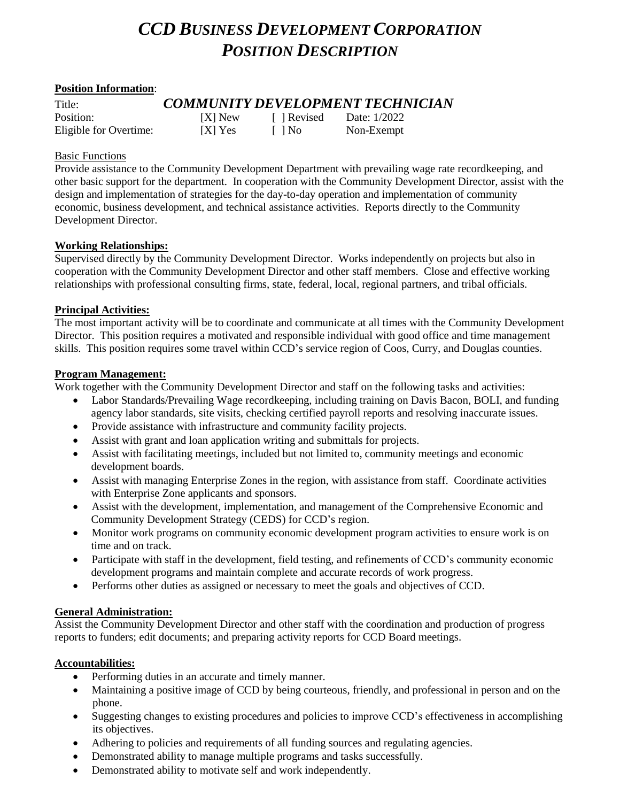# *CCD BUSINESS DEVELOPMENT CORPORATION POSITION DESCRIPTION*

## **Position Information**:

| Title:                 | <b>COMMUNITY DEVELOPMENT TECHNICIAN</b> |           |              |
|------------------------|-----------------------------------------|-----------|--------------|
| Position:              | [X] New                                 | 1 Revised | Date: 1/2022 |
| Eligible for Overtime: | $[X]$ Yes                               | L 1 No    | Non-Exempt   |

#### Basic Functions

Provide assistance to the Community Development Department with prevailing wage rate recordkeeping, and other basic support for the department. In cooperation with the Community Development Director, assist with the design and implementation of strategies for the day-to-day operation and implementation of community economic, business development, and technical assistance activities. Reports directly to the Community Development Director.

#### **Working Relationships:**

Supervised directly by the Community Development Director. Works independently on projects but also in cooperation with the Community Development Director and other staff members. Close and effective working relationships with professional consulting firms, state, federal, local, regional partners, and tribal officials.

#### **Principal Activities:**

The most important activity will be to coordinate and communicate at all times with the Community Development Director. This position requires a motivated and responsible individual with good office and time management skills. This position requires some travel within CCD's service region of Coos, Curry, and Douglas counties.

#### **Program Management:**

Work together with the Community Development Director and staff on the following tasks and activities:

- Labor Standards/Prevailing Wage recordkeeping, including training on Davis Bacon, BOLI, and funding agency labor standards, site visits, checking certified payroll reports and resolving inaccurate issues.
- Provide assistance with infrastructure and community facility projects.
- Assist with grant and loan application writing and submittals for projects.
- Assist with facilitating meetings, included but not limited to, community meetings and economic development boards.
- Assist with managing Enterprise Zones in the region, with assistance from staff. Coordinate activities with Enterprise Zone applicants and sponsors.
- Assist with the development, implementation, and management of the Comprehensive Economic and Community Development Strategy (CEDS) for CCD's region.
- Monitor work programs on community economic development program activities to ensure work is on time and on track.
- Participate with staff in the development, field testing, and refinements of CCD's community economic development programs and maintain complete and accurate records of work progress.
- Performs other duties as assigned or necessary to meet the goals and objectives of CCD.

#### **General Administration:**

Assist the Community Development Director and other staff with the coordination and production of progress reports to funders; edit documents; and preparing activity reports for CCD Board meetings.

#### **Accountabilities:**

- Performing duties in an accurate and timely manner.
- Maintaining a positive image of CCD by being courteous, friendly, and professional in person and on the phone.
- Suggesting changes to existing procedures and policies to improve CCD's effectiveness in accomplishing its objectives.
- Adhering to policies and requirements of all funding sources and regulating agencies.
- Demonstrated ability to manage multiple programs and tasks successfully.
- Demonstrated ability to motivate self and work independently.